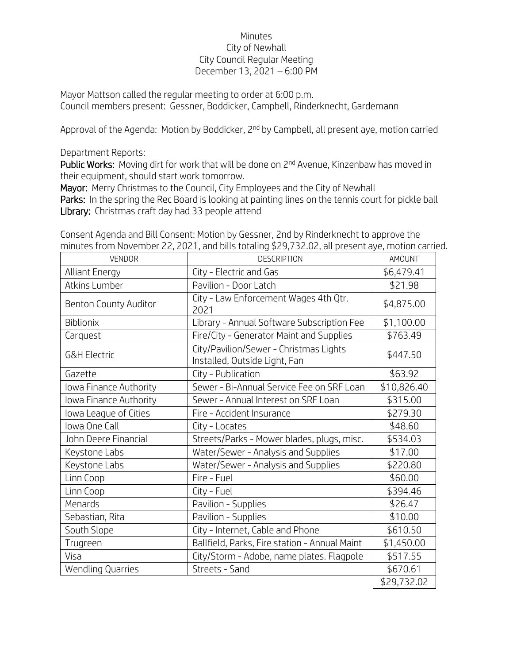## **Minutes** City of Newhall City Council Regular Meeting December 13, 2021 – 6:00 PM

Mayor Mattson called the regular meeting to order at 6:00 p.m. Council members present: Gessner, Boddicker, Campbell, Rinderknecht, Gardemann

Approval of the Agenda: Motion by Boddicker, 2<sup>nd</sup> by Campbell, all present aye, motion carried

Department Reports:

Public Works: Moving dirt for work that will be done on 2<sup>nd</sup> Avenue, Kinzenbaw has moved in their equipment, should start work tomorrow.

Mayor: Merry Christmas to the Council, City Employees and the City of Newhall

Parks: In the spring the Rec Board is looking at painting lines on the tennis court for pickle ball Library: Christmas craft day had 33 people attend

Consent Agenda and Bill Consent: Motion by Gessner, 2nd by Rinderknecht to approve the minutes from November 22, 2021, and bills totaling \$29,732.02, all present aye, motion carried.

| <b>VENDOR</b>                | <b>DESCRIPTION</b>                                                      | <b>AMOUNT</b> |
|------------------------------|-------------------------------------------------------------------------|---------------|
| <b>Alliant Energy</b>        | City - Electric and Gas                                                 | \$6,479.41    |
| Atkins Lumber                | Pavilion - Door Latch                                                   | \$21.98       |
| <b>Benton County Auditor</b> | City - Law Enforcement Wages 4th Qtr.<br>2021                           | \$4,875.00    |
| Biblionix                    | Library - Annual Software Subscription Fee                              | \$1,100.00    |
| Carquest                     | Fire/City - Generator Maint and Supplies                                | \$763.49      |
| <b>G&amp;H Electric</b>      | City/Pavilion/Sewer - Christmas Lights<br>Installed, Outside Light, Fan | \$447.50      |
| Gazette                      | City - Publication                                                      | \$63.92       |
| Iowa Finance Authority       | Sewer - Bi-Annual Service Fee on SRF Loan                               | \$10,826.40   |
| Iowa Finance Authority       | Sewer - Annual Interest on SRF Loan                                     | \$315.00      |
| lowa League of Cities        | Fire - Accident Insurance                                               | \$279.30      |
| Iowa One Call                | City - Locates                                                          | \$48.60       |
| John Deere Financial         | Streets/Parks - Mower blades, plugs, misc.                              | \$534.03      |
| Keystone Labs                | Water/Sewer - Analysis and Supplies                                     | \$17.00       |
| Keystone Labs                | Water/Sewer - Analysis and Supplies                                     | \$220.80      |
| Linn Coop                    | Fire - Fuel                                                             | \$60.00       |
| Linn Coop                    | City - Fuel                                                             | \$394.46      |
| Menards                      | Pavilion - Supplies                                                     | \$26.47       |
| Sebastian, Rita              | Pavilion - Supplies                                                     | \$10.00       |
| South Slope                  | City - Internet, Cable and Phone                                        | \$610.50      |
| Trugreen                     | Ballfield, Parks, Fire station - Annual Maint                           | \$1,450.00    |
| Visa                         | City/Storm - Adobe, name plates. Flagpole                               | \$517.55      |
| <b>Wendling Quarries</b>     | Streets - Sand                                                          | \$670.61      |
|                              |                                                                         | \$29,732.02   |